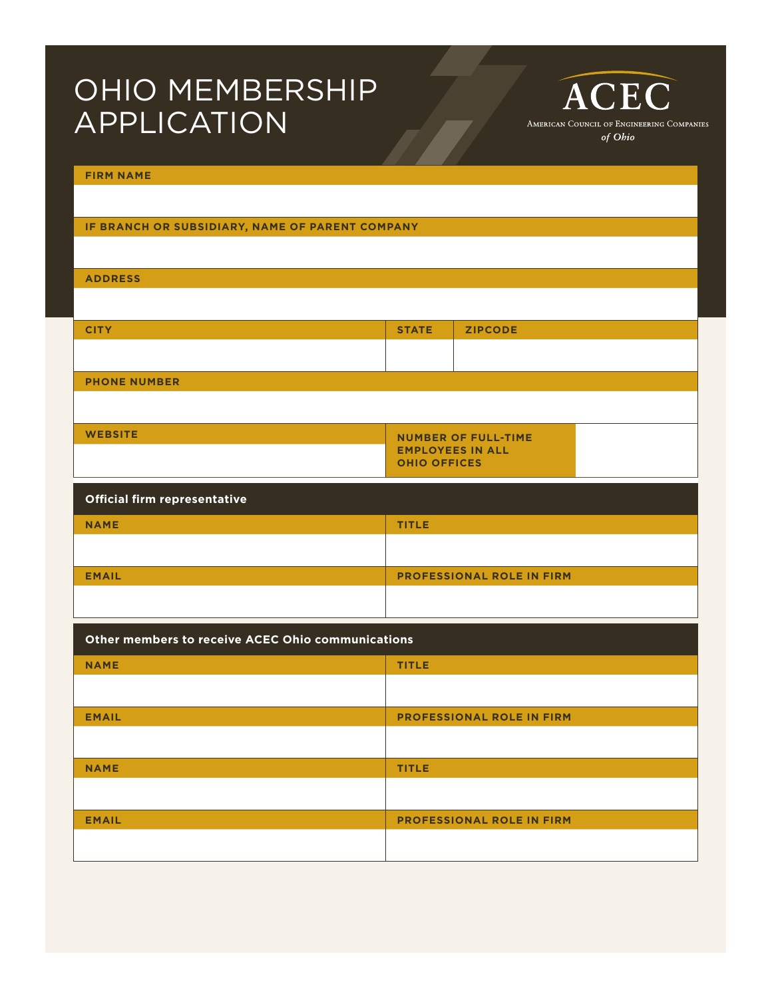## OHIO MEMBERSHIP APPLICATION

**FIRM NAME** 

## **IF BRANCH OR SUBSIDIARY, NAME OF PARENT COMPANY**

**ADDRESS**

| <b>CITY</b>         | <b>STATE</b>               | <b>ZIPCODE</b> |  |
|---------------------|----------------------------|----------------|--|
|                     |                            |                |  |
| <b>PHONE NUMBER</b> |                            |                |  |
|                     |                            |                |  |
| <b>WEBSITE</b>      | <b>NUMBER OF FULL-TIME</b> |                |  |

**EMPLOYEES IN ALL** 

ACEC

AMERICAN COUNCIL OF ENGINEERING COMPANIES of Ohio

|                              | <b>OHIO OFFICES</b>              |
|------------------------------|----------------------------------|
| Official firm representative |                                  |
| <b>NAME</b>                  | <b>TITLE</b>                     |
|                              |                                  |
| <b>EMAIL</b>                 | <b>PROFESSIONAL ROLE IN FIRM</b> |
|                              |                                  |

| Other members to receive ACEC Ohio communications |                                  |  |
|---------------------------------------------------|----------------------------------|--|
| <b>NAME</b>                                       | <b>TITLE</b>                     |  |
|                                                   |                                  |  |
| <b>EMAIL</b>                                      | <b>PROFESSIONAL ROLE IN FIRM</b> |  |
|                                                   |                                  |  |
| <b>NAME</b>                                       | <b>TITLE</b>                     |  |
|                                                   |                                  |  |
| <b>EMAIL</b>                                      | <b>PROFESSIONAL ROLE IN FIRM</b> |  |
|                                                   |                                  |  |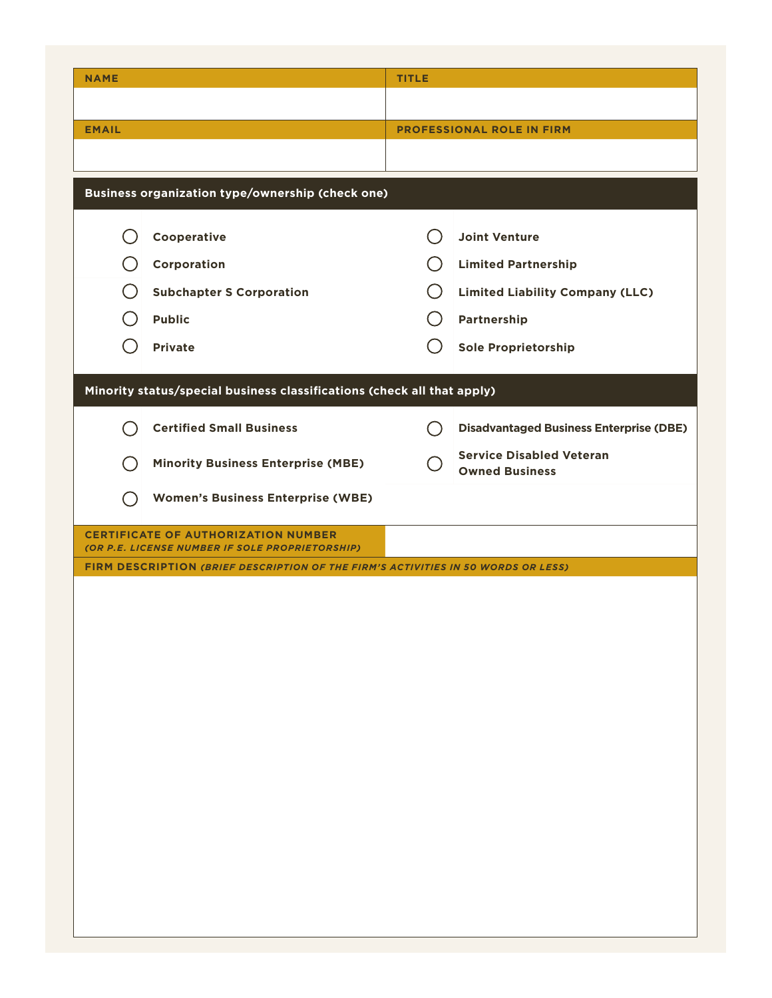| <b>NAME</b>                                                                                   | <b>TITLE</b>                                             |
|-----------------------------------------------------------------------------------------------|----------------------------------------------------------|
|                                                                                               |                                                          |
| <b>EMAIL</b>                                                                                  | <b>PROFESSIONAL ROLE IN FIRM</b>                         |
|                                                                                               |                                                          |
| Business organization type/ownership (check one)                                              |                                                          |
|                                                                                               |                                                          |
| Cooperative                                                                                   | <b>Joint Venture</b>                                     |
| Corporation                                                                                   | <b>Limited Partnership</b>                               |
| <b>Subchapter S Corporation</b>                                                               | <b>Limited Liability Company (LLC)</b>                   |
| <b>Public</b>                                                                                 | Partnership                                              |
| <b>Private</b>                                                                                | <b>Sole Proprietorship</b>                               |
| Minority status/special business classifications (check all that apply)                       |                                                          |
|                                                                                               |                                                          |
| <b>Certified Small Business</b>                                                               | <b>Disadvantaged Business Enterprise (DBE)</b>           |
| <b>Minority Business Enterprise (MBE)</b>                                                     | <b>Service Disabled Veteran</b><br><b>Owned Business</b> |
| <b>Women's Business Enterprise (WBE)</b>                                                      |                                                          |
| <b>CERTIFICATE OF AUTHORIZATION NUMBER</b><br>(OR P.E. LICENSE NUMBER IF SOLE PROPRIETORSHIP) |                                                          |
| FIRM DESCRIPTION (BRIEF DESCRIPTION OF THE FIRM'S ACTIVITIES IN 50 WORDS OR LESS)             |                                                          |
|                                                                                               |                                                          |
|                                                                                               |                                                          |
|                                                                                               |                                                          |
|                                                                                               |                                                          |
|                                                                                               |                                                          |
|                                                                                               |                                                          |
|                                                                                               |                                                          |
|                                                                                               |                                                          |
|                                                                                               |                                                          |
|                                                                                               |                                                          |
|                                                                                               |                                                          |
|                                                                                               |                                                          |
|                                                                                               |                                                          |